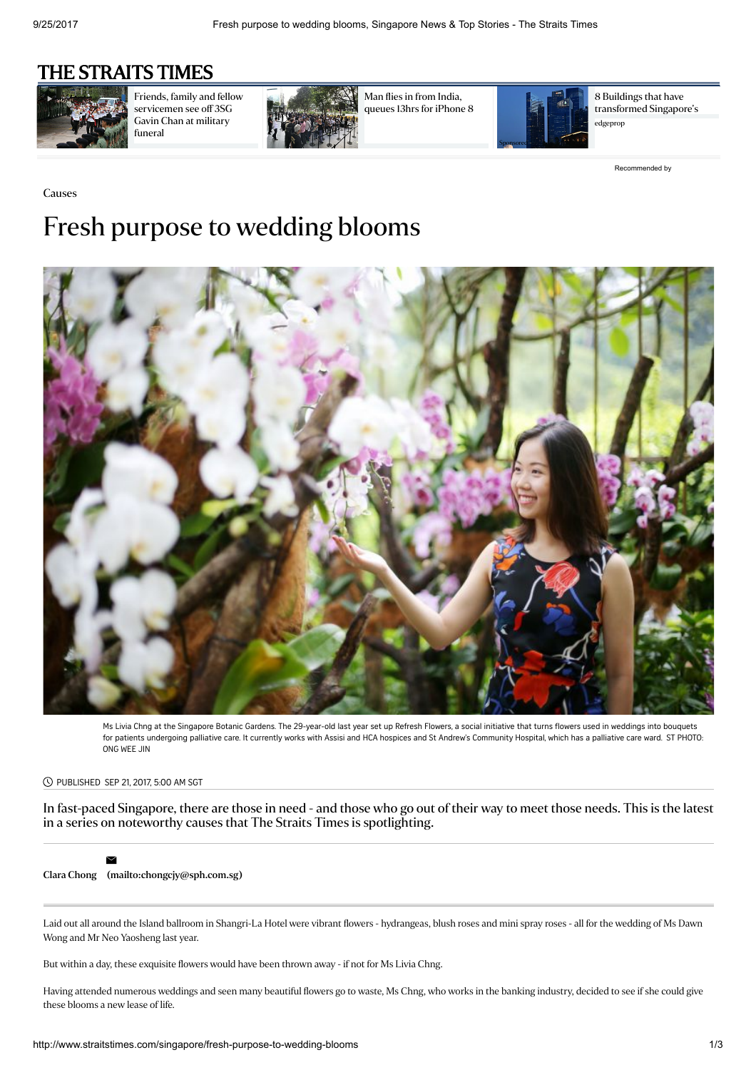## [THE STRAITS TIMES](http://www.straitstimes.com/)



Friends, family and fellow [servicemen](http://www.straitstimes.com/singapore/friends-family-and-fellow-servicemen-see-off-3sg-gavin-chan-at-his-military-funeral) see off 3SG Gavin Chan at military funeral



Man flies in from India, [queues](http://www.straitstimes.com/singapore/man-flies-in-from-india-queues-13hrs-for-iphone-8) 13hrs for iPhone 8



8 Buildings that have [transformed](https://www.edgeprop.sg/content/transforming-skyline?utm_source=Outbrain&utm_medium=article&utm_campaign=useracq) Singapore's edgeprop

[Recommended](http://www.outbrain.com/what-is/default/en) by

# Causes Fresh purpose to wedding blooms



Ms Livia Chng at the Singapore Botanic Gardens. The 29-year-old last year set up Refresh Flowers, a social initiative that turns flowers used in weddings into bouquets for patients undergoing palliative care. It currently works with Assisi and HCA hospices and St Andrew's Community Hospital, which has a palliative care ward. ST PHOTO: ONG WEE JIN

#### PUBLISHED SEP 21, 2017, 5:00 AM SGT

In fast-paced Singapore, there are those in need - and those who go out of their way to meet those needs. This is the latest in a series on noteworthy causes that The Straits Times is spotlighting.



Clara [Chong](http://www.straitstimes.com/authors/clara-chong) [\(mailto:chongcjy@sph.com.sg\)](mailto:chongcjy@sph.com.sg)

Laid out all around the Island ballroom in Shangri-La Hotel were vibrant flowers - hydrangeas, blush roses and mini spray roses - all for the wedding of Ms Dawn Wong and Mr Neo Yaosheng last year.

But within a day, these exquisite flowers would have been thrown away - if not for Ms Livia Chng.

Having attended numerous weddings and seen many beautiful flowers go to waste, Ms Chng, who works in the banking industry, decided to see if she could give these blooms a new lease of life.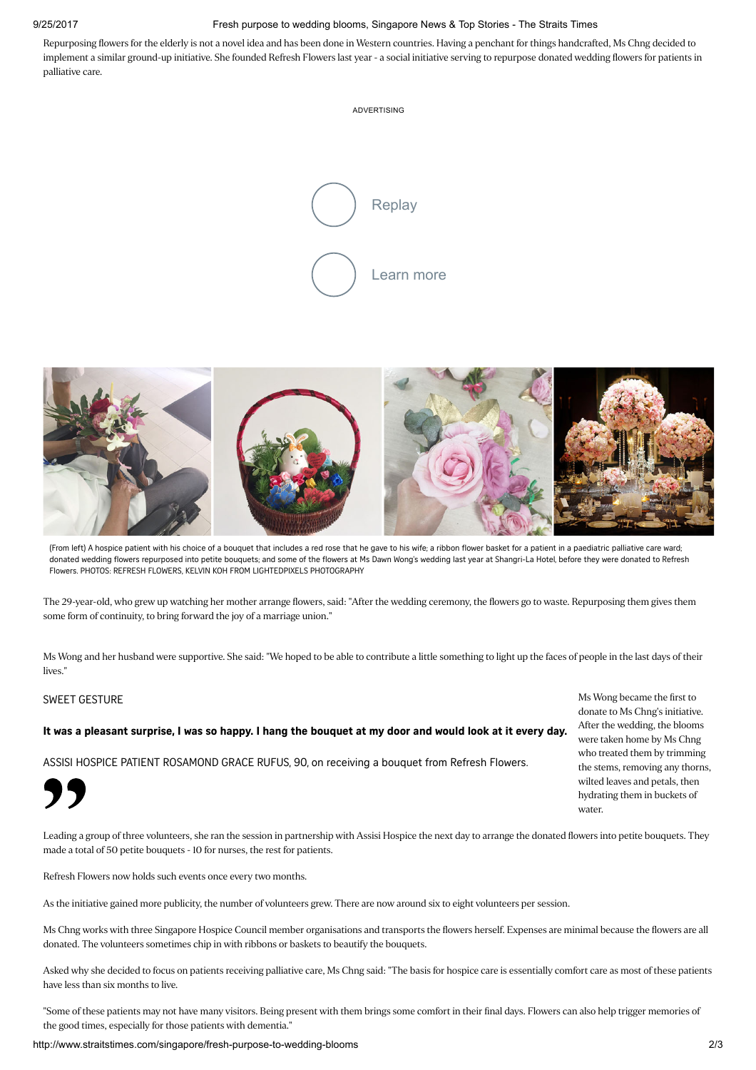### 9/25/2017 Fresh purpose to wedding blooms, Singapore News & Top Stories - The Straits Times

Repurposing flowers for the elderly is not a novel idea and has been done in Western countries. Having a penchant for things handcrafted, Ms Chng decided to implement a similar ground-up initiative. She founded Refresh Flowers last year - a social initiative serving to repurpose donated wedding flowers for patients in palliative care.





(From left) A hospice patient with his choice of a bouquet that includes a red rose that he gave to his wife; a ribbon flower basket for a patient in a paediatric palliative care ward; donated wedding flowers repurposed into petite bouquets; and some of the flowers at Ms Dawn Wong's wedding last year at Shangri-La Hotel, before they were donated to Refresh Flowers. PHOTOS: REFRESH FLOWERS, KELVIN KOH FROM LIGHTEDPIXELS PHOTOGRAPHY

The 29-year-old, who grew up watching her mother arrange flowers, said: "After the wedding ceremony, the flowers go to waste. Repurposing them gives them some form of continuity, to bring forward the joy of a marriage union."

Ms Wong and her husband were supportive. She said: "We hoped to be able to contribute a little something to light up the faces of people in the last days of their lives."

#### SWEET GESTURE

"

### It was a pleasant surprise, I was so happy. I hang the bouquet at my door and would look at it every day.

ASSISI HOSPICE PATIENT ROSAMOND GRACE RUFUS, 90, on receiving a bouquet from Refresh Flowers.

Ms Wong became the first to donate to Ms Chng's initiative. After the wedding, the blooms were taken home by Ms Chng who treated them by trimming the stems, removing any thorns, wilted leaves and petals, then hydrating them in buckets of water.

Leading a group of three volunteers, she ran the session in partnership with Assisi Hospice the next day to arrange the donated flowers into petite bouquets. They made a total of 50 petite bouquets - 10 for nurses, the rest for patients.

Refresh Flowers now holds such events once every two months.

As the initiative gained more publicity, the number of volunteers grew. There are now around six to eight volunteers per session.

Ms Chng works with three Singapore Hospice Council member organisations and transports the flowers herself. Expenses are minimal because the flowers are all donated. The volunteers sometimes chip in with ribbons or baskets to beautify the bouquets.

Asked why she decided to focus on patients receiving palliative care, Ms Chng said: "The basis for hospice care is essentially comfort care as most of these patients have less than six months to live.

"Some of these patients may not have many visitors. Being present with them brings some comfort in their final days. Flowers can also help trigger memories of the good times, especially for those patients with dementia."